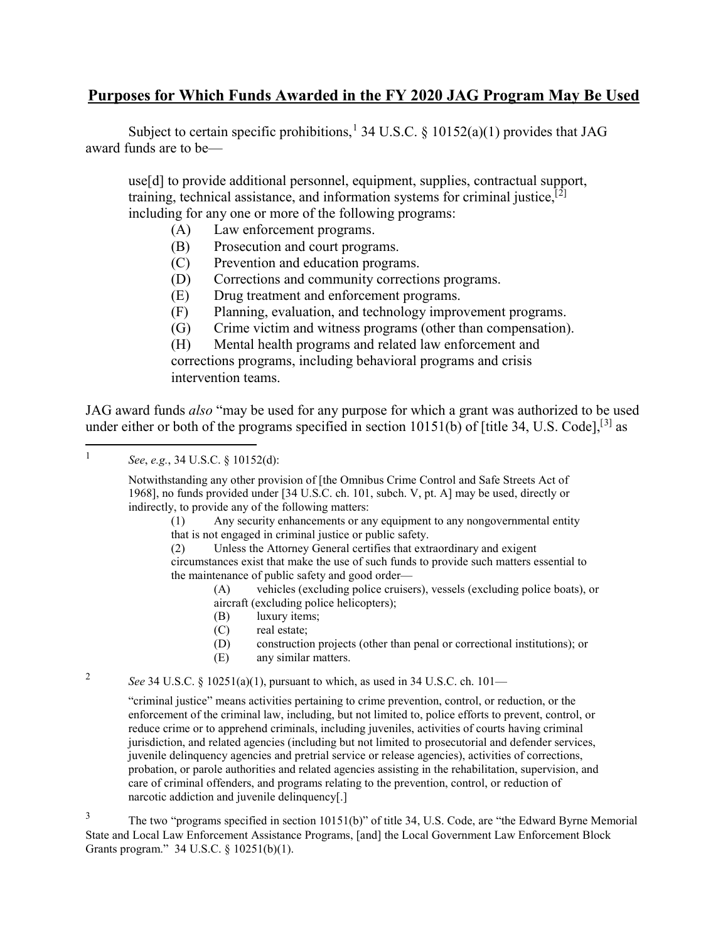## **Purposes for Which Funds Awarded in the FY 2020 JAG Program May Be Used**

Subject to certain specific prohibitions,<sup>1</sup> 34 U.S.C. § 10152(a)(1) provides that JAG award funds are to be—

 including for any one or more of the following programs: use[d] to provide additional personnel, equipment, supplies, contractual support, training, technical assistance, and information systems for criminal justice,  $[\overline{2}]$  $[\overline{2}]$  $[\overline{2}]$ 

- (A) Law enforcement programs.
- (B) Prosecution and court programs.
- (C) Prevention and education programs.
- (D) Corrections and community corrections programs.
- (E) Drug treatment and enforcement programs.
- (F) Planning, evaluation, and technology improvement programs.
- (G) Crime victim and witness programs (other than compensation).

(H) Mental health programs and related law enforcement and corrections programs, including behavioral programs and crisis intervention teams.

 JAG award funds *also* "may be used for any purpose for which a grant was authorized to be used under either or both of the programs specified in section  $10151(b)$  of [title [3](#page-0-2)4, U.S. Code],<sup>[3]</sup> as

l

 Notwithstanding any other provision of [the Omnibus Crime Control and Safe Streets Act of 1968], no funds provided under [34 U.S.C. ch. 101, subch. V, pt. A] may be used, directly or indirectly, to provide any of the following matters:

(1) Any security enhancements or any equipment to any nongovernmental entity that is not engaged in criminal justice or public safety.

(2) Unless the Attorney General certifies that extraordinary and exigent

 circumstances exist that make the use of such funds to provide such matters essential to the maintenance of public safety and good order—

(A) vehicles (excluding police cruisers), vessels (excluding police boats), or aircraft (excluding police helicopters);

- (B) luxury items;
- (C) real estate;
- (D) construction projects (other than penal or correctional institutions); or
- (E) any similar matters.

<span id="page-0-1"></span> $\overline{2}$ <sup>2</sup>*See* 34 U.S.C. § 10251(a)(1), pursuant to which, as used in 34 U.S.C. ch. 101—

> "criminal justice" means activities pertaining to crime prevention, control, or reduction, or the enforcement of the criminal law, including, but not limited to, police efforts to prevent, control, or reduce crime or to apprehend criminals, including juveniles, activities of courts having criminal jurisdiction, and related agencies (including but not limited to prosecutorial and defender services, juvenile delinquency agencies and pretrial service or release agencies), activities of corrections, probation, or parole authorities and related agencies assisting in the rehabilitation, supervision, and care of criminal offenders, and programs relating to the prevention, control, or reduction of narcotic addiction and juvenile delinquency[.]

<span id="page-0-2"></span><sup>3</sup> The two "programs specified in section 10151(b)" of title 34, U.S. Code, are "the Edward Byrne Memorial Grants program." 34 U.S.C. § 10251(b)(1). State and Local Law Enforcement Assistance Programs, [and] the Local Government Law Enforcement Block

<span id="page-0-0"></span><sup>1</sup>*See*, *e.g.*, 34 U.S.C. § 10152(d):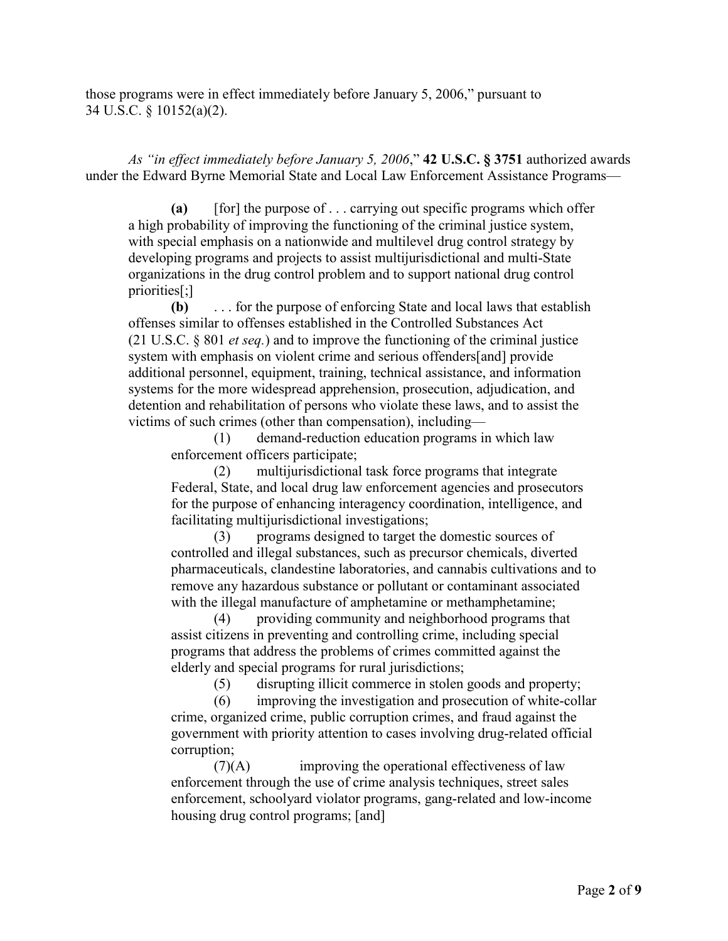those programs were in effect immediately before January 5, 2006," pursuant to 34 U.S.C. § 10152(a)(2).

 *As "in effect immediately before January 5, 2006*," **42 U.S.C. § 3751** authorized awards under the Edward Byrne Memorial State and Local Law Enforcement Assistance Programs—

 **(a)** [for] the purpose of . . . carrying out specific programs which offer with special emphasis on a nationwide and multilevel drug control strategy by a high probability of improving the functioning of the criminal justice system, developing programs and projects to assist multijurisdictional and multi-State organizations in the drug control problem and to support national drug control priorities[;]

**(b)**  (21 U.S.C. § 801 *et seq.*) and to improve the functioning of the criminal justice system with emphasis on violent crime and serious offenders[and] provide **(b)** . . . for the purpose of enforcing State and local laws that establish offenses similar to offenses established in the Controlled Substances Act additional personnel, equipment, training, technical assistance, and information systems for the more widespread apprehension, prosecution, adjudication, and detention and rehabilitation of persons who violate these laws, and to assist the victims of such crimes (other than compensation), including—

(1) demand-reduction education programs in which law enforcement officers participate;

 Federal, State, and local drug law enforcement agencies and prosecutors (2) multijurisdictional task force programs that integrate for the purpose of enhancing interagency coordination, intelligence, and facilitating multijurisdictional investigations;

 (3) programs designed to target the domestic sources of controlled and illegal substances, such as precursor chemicals, diverted pharmaceuticals, clandestine laboratories, and cannabis cultivations and to remove any hazardous substance or pollutant or contaminant associated with the illegal manufacture of amphetamine or methamphetamine;

 (4) providing community and neighborhood programs that assist citizens in preventing and controlling crime, including special programs that address the problems of crimes committed against the elderly and special programs for rural jurisdictions;

(5) disrupting illicit commerce in stolen goods and property;

(6) improving the investigation and prosecution of white-collar crime, organized crime, public corruption crimes, and fraud against the government with priority attention to cases involving drug-related official corruption;

 housing drug control programs; [and]  $(7)(A)$  improving the operational effectiveness of law enforcement through the use of crime analysis techniques, street sales enforcement, schoolyard violator programs, gang-related and low-income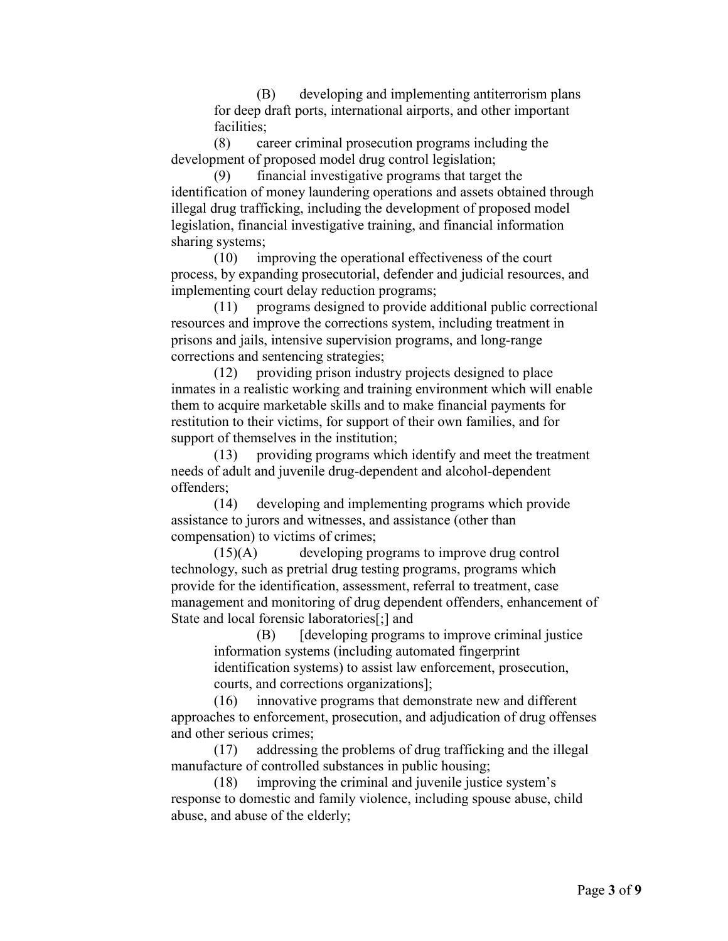(B) developing and implementing antiterrorism plans for deep draft ports, international airports, and other important facilities;

 $(8)$ career criminal prosecution programs including the development of proposed model drug control legislation;

(9) financial investigative programs that target the identification of money laundering operations and assets obtained through illegal drug trafficking, including the development of proposed model legislation, financial investigative training, and financial information sharing systems;

 (10) improving the operational effectiveness of the court process, by expanding prosecutorial, defender and judicial resources, and implementing court delay reduction programs;

(11) programs designed to provide additional public correctional resources and improve the corrections system, including treatment in prisons and jails, intensive supervision programs, and long-range corrections and sentencing strategies;

(12) providing prison industry projects designed to place inmates in a realistic working and training environment which will enable them to acquire marketable skills and to make financial payments for restitution to their victims, for support of their own families, and for support of themselves in the institution;

(13) providing programs which identify and meet the treatment needs of adult and juvenile drug-dependent and alcohol-dependent offenders;

(14) developing and implementing programs which provide assistance to jurors and witnesses, and assistance (other than compensation) to victims of crimes;

 State and local forensic laboratories[;] and (15)(A) developing programs to improve drug control technology, such as pretrial drug testing programs, programs which provide for the identification, assessment, referral to treatment, case management and monitoring of drug dependent offenders, enhancement of

(B) [developing programs to improve criminal justice] information systems (including automated fingerprint identification systems) to assist law enforcement, prosecution, courts, and corrections organizations];

 and other serious crimes; (16) innovative programs that demonstrate new and different approaches to enforcement, prosecution, and adjudication of drug offenses

(17) addressing the problems of drug trafficking and the illegal manufacture of controlled substances in public housing;

 abuse, and abuse of the elderly; (18) improving the criminal and juvenile justice system's response to domestic and family violence, including spouse abuse, child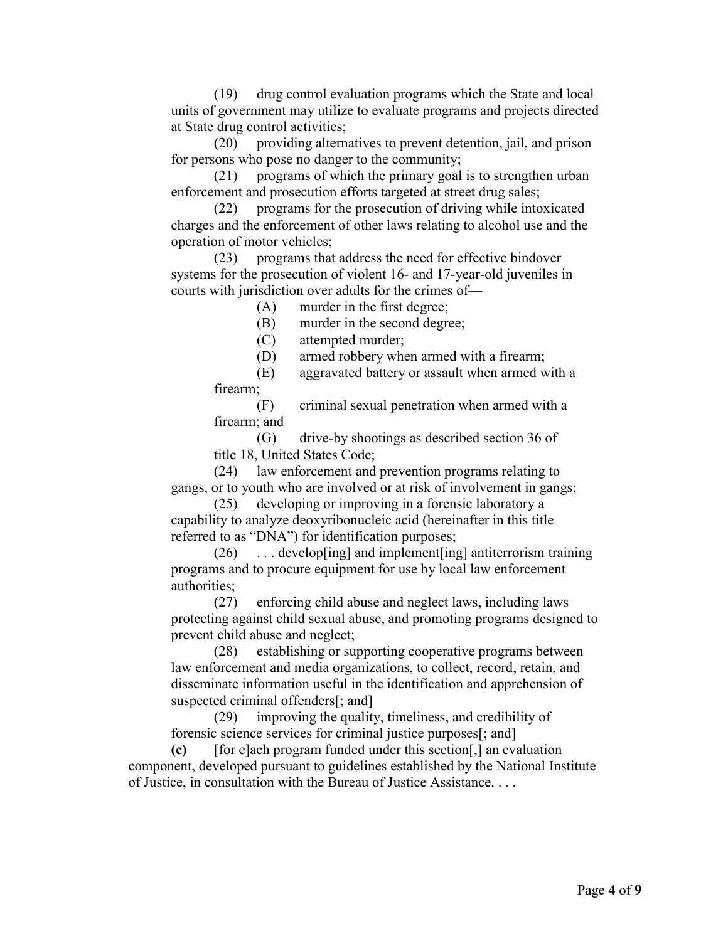$(19)$ drug control evaluation programs which the State and local units of government may utilize to evaluate programs and projects directed at State drug control activities;

(20) providing alternatives to prevent detention, jail, and prison for persons who pose no danger to the community;

(21) programs of which the primary goal is to strengthen urban enforcement and prosecution efforts targeted at street drug sales;

 charges and the enforcement of other laws relating to alcohol use and the (22) programs for the prosecution of driving while intoxicated operation of motor vehicles;

 courts with jurisdiction over adults for the crimes of— (23) programs that address the need for effective bindover systems for the prosecution of violent 16- and 17-year-old juveniles in

(A) murder in the first degree;

(B) murder in the second degree;

(C) attempted murder;

(D) armed robbery when armed with a firearm;

(E) aggravated battery or assault when armed with a firearm;

 firearm; and (F) criminal sexual penetration when armed with a

 (G) drive-by shootings as described section 36 of title 18, United States Code;

(24) law enforcement and prevention programs relating to gangs, or to youth who are involved or at risk of involvement in gangs;

 (25) developing or improving in a forensic laboratory a capability to analyze deoxyribonucleic acid (hereinafter in this title referred to as "DNA") for identification purposes;

 $(26)$  $\ldots$  develop[ing] and implement[ing] antiterrorism training programs and to procure equipment for use by local law enforcement authorities;

(27) enforcing child abuse and neglect laws, including laws protecting against child sexual abuse, and promoting programs designed to prevent child abuse and neglect;

 suspected criminal offenders[; and] (28) establishing or supporting cooperative programs between law enforcement and media organizations, to collect, record, retain, and disseminate information useful in the identification and apprehension of

 (29) improving the quality, timeliness, and credibility of forensic science services for criminal justice purposes[; and]

(c) component, developed pursuant to guidelines established by the National Institute of Justice, in consultation with the Bureau of Justice Assistance. . . . **(c)** [for e]ach program funded under this section[,] an evaluation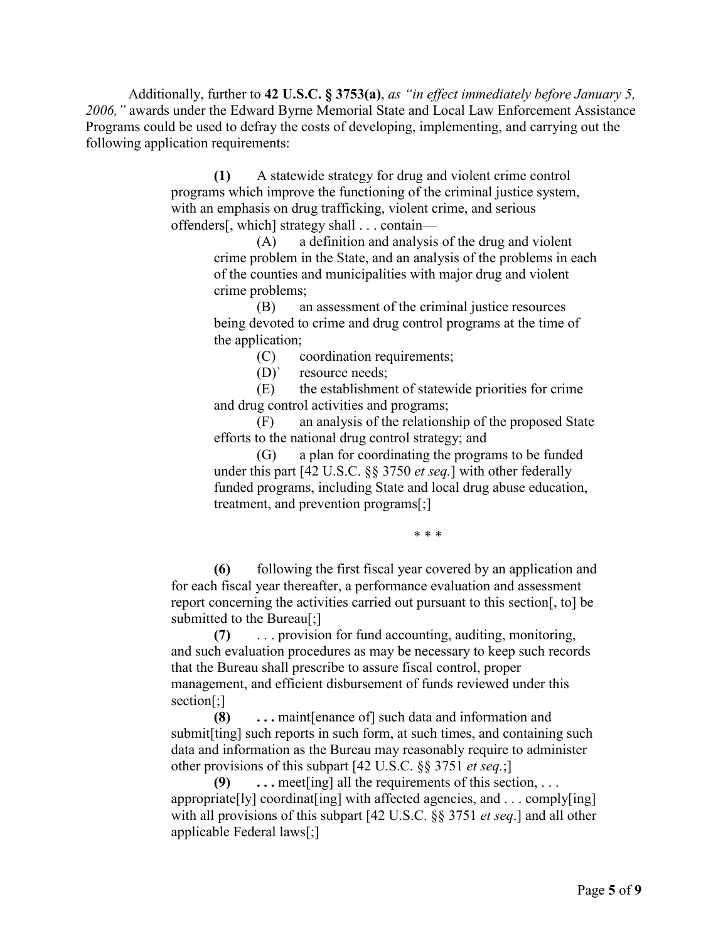Additionally, further to **42 U.S.C. § 3753(a)**, *as "in effect immediately before January 5, 2006,"* awards under the Edward Byrne Memorial State and Local Law Enforcement Assistance Programs could be used to defray the costs of developing, implementing, and carrying out the following application requirements:

> **(1)** A statewide strategy for drug and violent crime control offenders[, which] strategy shall . . . contain programs which improve the functioning of the criminal justice system, with an emphasis on drug trafficking, violent crime, and serious

(A) a definition and analysis of the drug and violent crime problem in the State, and an analysis of the problems in each of the counties and municipalities with major drug and violent crime problems;

 being devoted to crime and drug control programs at the time of (B) an assessment of the criminal justice resources the application;

(C) coordination requirements;

(D)` resource needs;

(E) the establishment of statewide priorities for crime and drug control activities and programs;

 efforts to the national drug control strategy; and (F) an analysis of the relationship of the proposed State

 under this part [42 U.S.C. §§ 3750 *et seq.*] with other federally (G) a plan for coordinating the programs to be funded funded programs, including State and local drug abuse education, treatment, and prevention programs[;]

\* \* \*

**(6)** following the first fiscal year covered by an application and for each fiscal year thereafter, a performance evaluation and assessment report concerning the activities carried out pursuant to this section[, to] be submitted to the Bureau<sup>[</sup>;]

 $(7)$ **(7)** . . . provision for fund accounting, auditing, monitoring, and such evaluation procedures as may be necessary to keep such records that the Bureau shall prescribe to assure fiscal control, proper management, and efficient disbursement of funds reviewed under this section[;]

 data and information as the Bureau may reasonably require to administer other provisions of this subpart [42 U.S.C. §§ 3751 *et seq.*;] **(8) . . .** maint[enance of] such data and information and submit[ting] such reports in such form, at such times, and containing such

 appropriate[ly] coordinat[ing] with affected agencies, and . . . comply[ing] with all provisions of this subpart [42 U.S.C. §§ 3751 *et seq*.] and all other **...** meet [ing] all the requirements of this section, ... applicable Federal laws[;]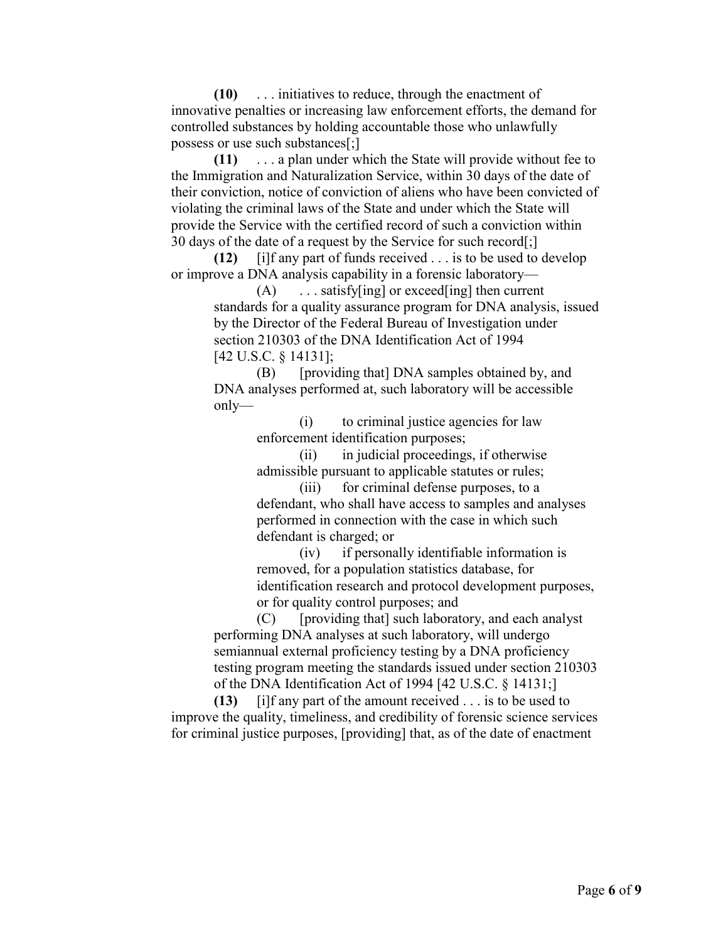$(10)$ **(10)** . . . initiatives to reduce, through the enactment of innovative penalties or increasing law enforcement efforts, the demand for controlled substances by holding accountable those who unlawfully possess or use such substances[;]

 $(11)$ **(11)** . . . a plan under which the State will provide without fee to the Immigration and Naturalization Service, within 30 days of the date of their conviction, notice of conviction of aliens who have been convicted of violating the criminal laws of the State and under which the State will provide the Service with the certified record of such a conviction within 30 days of the date of a request by the Service for such record[;]

 **(12)** [i]f any part of funds received . . . is to be used to develop or improve a DNA analysis capability in a forensic laboratory—

 $(A)$  standards for a quality assurance program for DNA analysis, issued by the Director of the Federal Bureau of Investigation under [42 U.S.C. § 14131];  $\dots$  satisfy[ing] or exceed[ing] then current section 210303 of the DNA Identification Act of 1994

(B) [providing that] DNA samples obtained by, and DNA analyses performed at, such laboratory will be accessible only—

> (i) to criminal justice agencies for law enforcement identification purposes;

(ii) in judicial proceedings, if otherwise admissible pursuant to applicable statutes or rules;

 defendant, who shall have access to samples and analyses defendant is charged; or (iii) for criminal defense purposes, to a performed in connection with the case in which such

 or for quality control purposes; and (iv) if personally identifiable information is removed, for a population statistics database, for identification research and protocol development purposes,

 semiannual external proficiency testing by a DNA proficiency of the DNA Identification Act of 1994 [42 U.S.C. § 14131;] (C) [providing that] such laboratory, and each analyst performing DNA analyses at such laboratory, will undergo testing program meeting the standards issued under section 210303

 **(13)** [i]f any part of the amount received . . . is to be used to for criminal justice purposes, [providing] that, as of the date of enactment improve the quality, timeliness, and credibility of forensic science services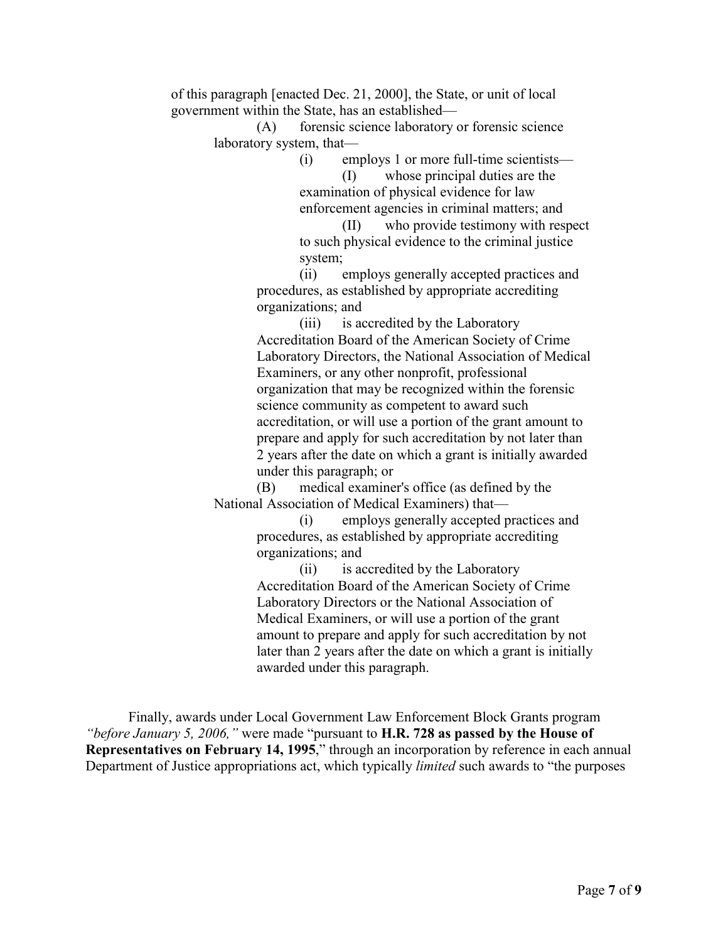of this paragraph [enacted Dec. 21, 2000], the State, or unit of local government within the State, has an established—

(A) forensic science laboratory or forensic science laboratory system, that—

(i) employs 1 or more full-time scientists—

 enforcement agencies in criminal matters; and (I) whose principal duties are the examination of physical evidence for law

(II) who provide testimony with respect to such physical evidence to the criminal justice system;

 organizations; and (ii) employs generally accepted practices and procedures, as established by appropriate accrediting

 Laboratory Directors, the National Association of Medical accreditation, or will use a portion of the grant amount to 2 years after the date on which a grant is initially awarded under this paragraph; or (iii) is accredited by the Laboratory Accreditation Board of the American Society of Crime Examiners, or any other nonprofit, professional organization that may be recognized within the forensic science community as competent to award such prepare and apply for such accreditation by not later than

(B) medical examiner's office (as defined by the National Association of Medical Examiners) that—

 organizations; and (i) employs generally accepted practices and procedures, as established by appropriate accrediting

 later than 2 years after the date on which a grant is initially (ii) is accredited by the Laboratory Accreditation Board of the American Society of Crime Laboratory Directors or the National Association of Medical Examiners, or will use a portion of the grant amount to prepare and apply for such accreditation by not awarded under this paragraph.

 Department of Justice appropriations act, which typically *limited* such awards to "the purposes Finally, awards under Local Government Law Enforcement Block Grants program *"before January 5, 2006,"* were made "pursuant to **H.R. 728 as passed by the House of Representatives on February 14, 1995**," through an incorporation by reference in each annual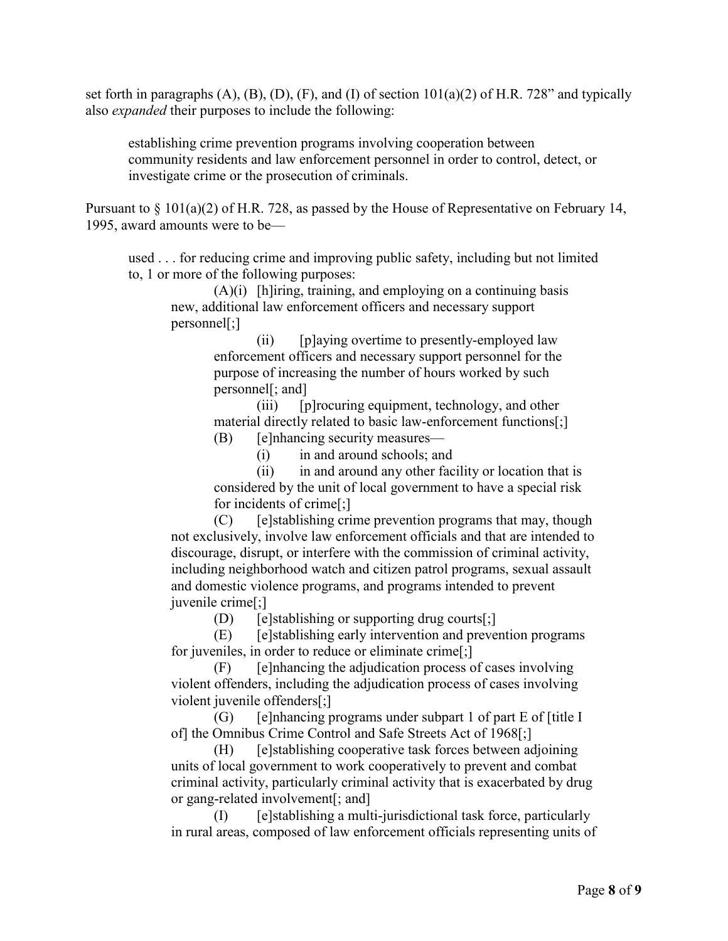set forth in paragraphs (A), (B), (D), (F), and (I) of section 101(a)(2) of H.R. 728" and typically also *expanded* their purposes to include the following:

establishing crime prevention programs involving cooperation between community residents and law enforcement personnel in order to control, detect, or investigate crime or the prosecution of criminals.

 Pursuant to § 101(a)(2) of H.R. 728, as passed by the House of Representative on February 14, 1995, award amounts were to be—

 used . . . for reducing crime and improving public safety, including but not limited to, 1 or more of the following purposes:

 (A)(i) [h]iring, training, and employing on a continuing basis new, additional law enforcement officers and necessary support personnel[;]

(ii) [p]aying overtime to presently-employed law enforcement officers and necessary support personnel for the purpose of increasing the number of hours worked by such personnel[; and]

(iii) [p]rocuring equipment, technology, and other material directly related to basic law-enforcement functions[;]

(B) [e]nhancing security measures—

(i) in and around schools; and

(ii) in and around any other facility or location that is considered by the unit of local government to have a special risk for incidents of crime[;]

(C) [e]stablishing crime prevention programs that may, though not exclusively, involve law enforcement officials and that are intended to discourage, disrupt, or interfere with the commission of criminal activity, including neighborhood watch and citizen patrol programs, sexual assault and domestic violence programs, and programs intended to prevent juvenile crime[;]

(D) [e]stablishing or supporting drug courts[;]

 for juveniles, in order to reduce or eliminate crime[;] (E) [e]stablishing early intervention and prevention programs

 (F) [e]nhancing the adjudication process of cases involving violent offenders, including the adjudication process of cases involving violent juvenile offenders[;]

 (G) [e]nhancing programs under subpart 1 of part E of [title I of] the Omnibus Crime Control and Safe Streets Act of 1968[;]

(H) [e]stablishing cooperative task forces between adjoining units of local government to work cooperatively to prevent and combat criminal activity, particularly criminal activity that is exacerbated by drug or gang-related involvement[; and]

(I) [e]stablishing a multi-jurisdictional task force, particularly in rural areas, composed of law enforcement officials representing units of